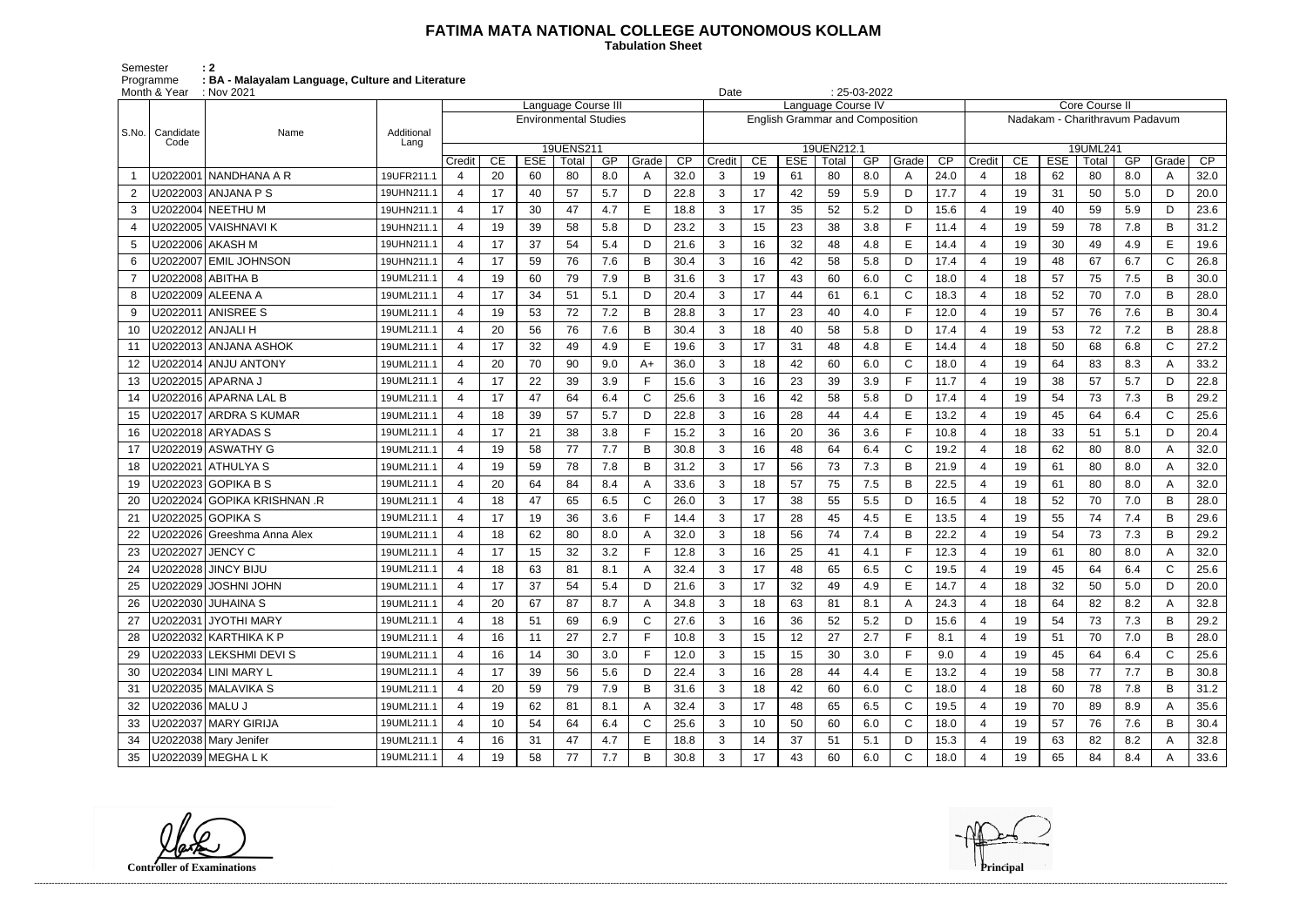## **FATIMA MATA NATIONAL COLLEGE AUTONOMOUS KOLLAM**

 **Tabulation Sheet** 

Semester : 2 Programme : BA - Malayalam Language, Culture and Literature

| $: 25-03-2022$<br>Month & Year<br>: Nov 2021<br>Date<br>Language Course III |                             |                    |                |    |                              |                    |     |       |                 |                                                              |    |            |                     |     |             |                 |                |                                                  |            |                   |     |              |      |  |
|-----------------------------------------------------------------------------|-----------------------------|--------------------|----------------|----|------------------------------|--------------------|-----|-------|-----------------|--------------------------------------------------------------|----|------------|---------------------|-----|-------------|-----------------|----------------|--------------------------------------------------|------------|-------------------|-----|--------------|------|--|
|                                                                             |                             |                    |                |    |                              |                    |     |       |                 | Language Course IV<br><b>English Grammar and Composition</b> |    |            |                     |     |             |                 |                | Core Course II<br>Nadakam - Charithravum Padavum |            |                   |     |              |      |  |
|                                                                             |                             |                    |                |    | <b>Environmental Studies</b> |                    |     |       |                 |                                                              |    |            |                     |     |             |                 |                |                                                  |            |                   |     |              |      |  |
| l S.No.                                                                     | Candidate<br>Name<br>Code   | Additional<br>Lang |                |    |                              |                    |     |       |                 |                                                              |    |            |                     |     |             |                 |                |                                                  |            |                   |     |              |      |  |
|                                                                             |                             |                    | Credit         | CE | <b>ESE</b>                   | 19UENS211<br>Total | GP  | Grade | $\overline{CP}$ | Credit                                                       | CE | <b>ESE</b> | 19UEN212.1<br>Total | GP  | Grade       | $\overline{CP}$ | Credit         | CE                                               | <b>ESE</b> | 19UML241<br>Total | GP  | Grade        | CP   |  |
|                                                                             | U2022001 NANDHANA A R       | 19UFR211.1         | 4              | 20 | 60                           | 80                 | 8.0 | A     | 32.0            | 3                                                            | 19 | 61         | 80                  | 8.0 | A           | 24.0            | 4              | 18                                               | 62         | 80                | 8.0 | A            | 32.0 |  |
| 2                                                                           | U2022003 ANJANA P S         | 19UHN211.1         | 4              | 17 | 40                           | 57                 | 5.7 | D     | 22.8            | 3                                                            | 17 | 42         | 59                  | 5.9 | D           | 17.7            | $\overline{4}$ | 19                                               | 31         | 50                | 5.0 | D            | 20.0 |  |
| 3                                                                           | U2022004 NEETHU M           | 19UHN211.1         | 4              | 17 | 30                           | 47                 | 4.7 | Е     | 18.8            | 3                                                            | 17 | 35         | 52                  | 5.2 | D           | 15.6            | $\overline{4}$ | 19                                               | 40         | 59                | 5.9 | D            | 23.6 |  |
| 4                                                                           | U2022005   VAISHNAVI K      | 19UHN211.1         | 4              | 19 | 39                           | 58                 | 5.8 | D     | 23.2            | 3                                                            | 15 | 23         | 38                  | 3.8 | F           | 11.4            |                | 19                                               | 59         | 78                | 7.8 | B            | 31.2 |  |
| 5                                                                           | U2022006 AKASH M            | 19UHN211.1         | 4              | 17 | 37                           | 54                 | 5.4 | D     | 21.6            | 3                                                            | 16 | 32         | 48                  | 4.8 | E           | 14.4            | $\overline{4}$ | 19                                               | 30         | 49                | 4.9 | E            | 19.6 |  |
| 6                                                                           | J2022007 EMIL JOHNSON       | 19UHN211.1         | 4              | 17 | 59                           | 76                 | 7.6 | B     | 30.4            | 3                                                            | 16 | 42         | 58                  | 5.8 | D           | 17.4            |                | 19                                               | 48         | 67                | 6.7 | $\mathsf{C}$ | 26.8 |  |
|                                                                             | U2022008 ABITHA B           | 19UML211.1         | 4              | 19 | 60                           | 79                 | 7.9 | B     | 31.6            | 3                                                            | 17 | 43         | 60                  | 6.0 | C           | 18.0            | $\overline{4}$ | 18                                               | 57         | 75                | 7.5 | B            | 30.0 |  |
| 8                                                                           |                             | 19UML211.1         | $\overline{4}$ | 17 | 34                           | 51                 | 5.1 | D     | 20.4            | 3                                                            | 17 | 44         | 61                  | 6.1 | C           | 18.3            | $\overline{4}$ | 18                                               | 52         | 70                | 7.0 | B            | 28.0 |  |
| 9                                                                           | U2022011 ANISREE S          | 19UML211.1         | 4              | 19 | 53                           | 72                 | 7.2 | B     | 28.8            | 3                                                            | 17 | 23         | 40                  | 4.0 | E           | 12.0            |                | 19                                               | 57         | 76                | 7.6 | B            | 30.4 |  |
| 10                                                                          | U2022012   ANJALI H         | 19UML211.1         | 4              | 20 | 56                           | 76                 | 7.6 | B     | 30.4            | 3                                                            | 18 | 40         | 58                  | 5.8 | D           | 17.4            | $\overline{4}$ | 19                                               | 53         | 72                | 7.2 | B            | 28.8 |  |
| 11                                                                          | U2022013 ANJANA ASHOK       | 19UML211.1         | 4              | 17 | 32                           | 49                 | 4.9 | Е     | 19.6            | 3                                                            | 17 | 31         | 48                  | 4.8 | E           | 14.4            | 4              | 18                                               | 50         | 68                | 6.8 | C            | 27.2 |  |
| 12                                                                          | J2022014 ANJU ANTONY        | 19UML211.1         | $\overline{4}$ | 20 | 70                           | 90                 | 9.0 | $A+$  | 36.0            | 3                                                            | 18 | 42         | 60                  | 6.0 | $\mathsf C$ | 18.0            | $\overline{4}$ | 19                                               | 64         | 83                | 8.3 | A            | 33.2 |  |
| 13                                                                          | U2022015 APARNA J           | 19UML211.1         | 4              | 17 | 22                           | 39                 | 3.9 | Е     | 15.6            | 3                                                            | 16 | 23         | 39                  | 3.9 | F           | 11.7            | $\overline{4}$ | 19                                               | 38         | 57                | 5.7 | D            | 22.8 |  |
| 14                                                                          | U2022016 APARNA LAL B       | 19UML211.1         | 4              | 17 | 47                           | 64                 | 6.4 | C     | 25.6            | 3                                                            | 16 | 42         | 58                  | 5.8 | D           | 17.4            |                | 19                                               | 54         | 73                | 7.3 | B            | 29.2 |  |
| 15                                                                          | U2022017 ARDRA S KUMAR      | 19UML211.1         | 4              | 18 | 39                           | 57                 | 5.7 | D     | 22.8            | 3                                                            | 16 | 28         | 44                  | 4.4 | E           | 13.2            | $\overline{4}$ | 19                                               | 45         | 64                | 6.4 | $\mathsf{C}$ | 25.6 |  |
| 16                                                                          | J2022018 ARYADAS S          | 19UML211.1         | 4              | 17 | 21                           | 38                 | 3.8 |       | 15.2            | 3                                                            | 16 | 20         | 36                  | 3.6 | F           | 10.8            |                | 18                                               | 33         | 51                | 5.1 | D            | 20.4 |  |
| 17                                                                          | U2022019 ASWATHY G          | 19UML211.1         | $\overline{4}$ | 19 | 58                           | 77                 | 7.7 | B     | 30.8            | 3                                                            | 16 | 48         | 64                  | 6.4 | C           | 19.2            | $\overline{4}$ | 18                                               | 62         | 80                | 8.0 | A            | 32.0 |  |
| 18                                                                          | J2022021 ATHULYA S          | 19UML211.1         | 4              | 19 | 59                           | 78                 | 7.8 | B     | 31.2            | 3                                                            | 17 | 56         | 73                  | 7.3 | B           | 21.9            | $\overline{4}$ | 19                                               | 61         | 80                | 8.0 | A            | 32.0 |  |
| 19                                                                          | J2022023 GOPIKA B S         | 19UML211.1         | 4              | 20 | 64                           | 84                 | 8.4 |       | 33.6            | 3                                                            | 18 | 57         | 75                  | 7.5 | B           | 22.5            |                | 19                                               | 61         | 80                | 8.0 | A            | 32.0 |  |
| 20                                                                          | U2022024 GOPIKA KRISHNAN .R | 19UML211.1         | 4              | 18 | 47                           | 65                 | 6.5 | C     | 26.0            | 3                                                            | 17 | 38         | 55                  | 5.5 | D           | 16.5            | 4              | 18                                               | 52         | 70                | 7.0 | B            | 28.0 |  |
| 21                                                                          | U2022025 GOPIKA S           | 19UML211.1         | 4              | 17 | 19                           | 36                 | 3.6 |       | 14.4            | 3                                                            | 17 | 28         | 45                  | 4.5 | E           | 13.5            |                | 19                                               | 55         | 74                | 7.4 | B            | 29.6 |  |
| 22                                                                          | J2022026 Greeshma Anna Alex | 19UML211.1         | $\overline{4}$ | 18 | 62                           | 80                 | 8.0 | Α     | 32.0            | 3                                                            | 18 | 56         | 74                  | 7.4 | B           | 22.2            | $\overline{4}$ | 19                                               | 54         | 73                | 7.3 | B            | 29.2 |  |
| 23                                                                          | U2022027   JENCY C          | 19UML211.1         | 4              | 17 | 15                           | 32                 | 3.2 | Е     | 12.8            | 3                                                            | 16 | 25         | 41                  | 4.1 | F           | 12.3            | 4              | 19                                               | 61         | 80                | 8.0 | A            | 32.0 |  |
| 24                                                                          | U2022028 JINCY BIJU         | 19UML211.1         | 4              | 18 | 63                           | 81                 | 8.1 |       | 32.4            | 3                                                            | 17 | 48         | 65                  | 6.5 | $\mathsf C$ | 19.5            |                | 19                                               | 45         | 64                | 6.4 | C            | 25.6 |  |
| 25                                                                          | U2022029 JOSHNI JOHN        | 19UML211.1         | 4              | 17 | 37                           | 54                 | 5.4 | D     | 21.6            | 3                                                            | 17 | 32         | 49                  | 4.9 | E           | 14.7            | 4              | 18                                               | 32         | 50                | 5.0 | D            | 20.0 |  |
| 26                                                                          | U2022030 JUHAINA S          | 19UML211.1         | 4              | 20 | 67                           | 87                 | 8.7 | A     | 34.8            | 3                                                            | 18 | 63         | 81                  | 8.1 | A           | 24.3            | 4              | 18                                               | 64         | 82                | 8.2 | A            | 32.8 |  |
| 27                                                                          | U2022031 JYOTHI MARY        | 19UML211.1         | $\overline{4}$ | 18 | 51                           | 69                 | 6.9 | C     | 27.6            | 3                                                            | 16 | 36         | 52                  | 5.2 | D           | 15.6            | 4              | 19                                               | 54         | 73                | 7.3 | B            | 29.2 |  |
| 28                                                                          | U2022032   KARTHIKA K P     | 19UML211.1         | $\overline{4}$ | 16 | 11                           | 27                 | 2.7 | F     | 10.8            | 3                                                            | 15 | 12         | 27                  | 2.7 | F           | 8.1             | 4              | 19                                               | 51         | 70                | 7.0 | B            | 28.0 |  |
| 29                                                                          | U2022033 LEKSHMI DEVIS      | 19UML211.1         | $\overline{4}$ | 16 | 14                           | 30                 | 3.0 |       | 12.0            | 3                                                            | 15 | 15         | 30                  | 3.0 | F           | 9.0             |                | 19                                               | 45         | 64                | 6.4 | $\mathsf{C}$ | 25.6 |  |
| 30                                                                          | U2022034 LINI MARY L        | 19UML211.1         | $\overline{4}$ | 17 | 39                           | 56                 | 5.6 | D     | 22.4            | 3                                                            | 16 | 28         | 44                  | 4.4 | E           | 13.2            | 4              | 19                                               | 58         | 77                | 7.7 | B            | 30.8 |  |
| 31                                                                          | U2022035 MALAVIKA S         | 19UML211.1         | 4              | 20 | 59                           | 79                 | 7.9 | B     | 31.6            | 3                                                            | 18 | 42         | 60                  | 6.0 | C           | 18.0            | 4              | 18                                               | 60         | 78                | 7.8 | B            | 31.2 |  |
| 32                                                                          | U2022036 MALU J             | 19UML211.1         | $\overline{4}$ | 19 | 62                           | 81                 | 8.1 | A     | 32.4            | 3                                                            | 17 | 48         | 65                  | 6.5 | C           | 19.5            | 4              | 19                                               | 70         | 89                | 8.9 | A            | 35.6 |  |
| 33                                                                          | U2022037 MARY GIRIJA        | 19UML211.1         | $\overline{4}$ | 10 | 54                           | 64                 | 6.4 | C     | 25.6            | 3                                                            | 10 | 50         | 60                  | 6.0 | C           | 18.0            | 4              | 19                                               | 57         | 76                | 7.6 | B            | 30.4 |  |
| 34                                                                          | U2022038 Mary Jenifer       | 19UML211.1         | $\overline{4}$ | 16 | 31                           | 47                 | 4.7 | Е     | 18.8            | 3                                                            | 14 | 37         | 51                  | 5.1 | D           | 15.3            |                | 19                                               | 63         | 82                | 8.2 |              | 32.8 |  |
| 35                                                                          | U2022039 MEGHA L K          | 19UML211.1         | 4              | 19 | 58                           | 77                 | 7.7 | B     | 30.8            | 3 <sup>1</sup>                                               | 17 | 43         | 60                  | 6.0 | C           | 18.0            |                | 19                                               | 65         | 84                | 8.4 |              | 33.6 |  |

**Controller of Examinations**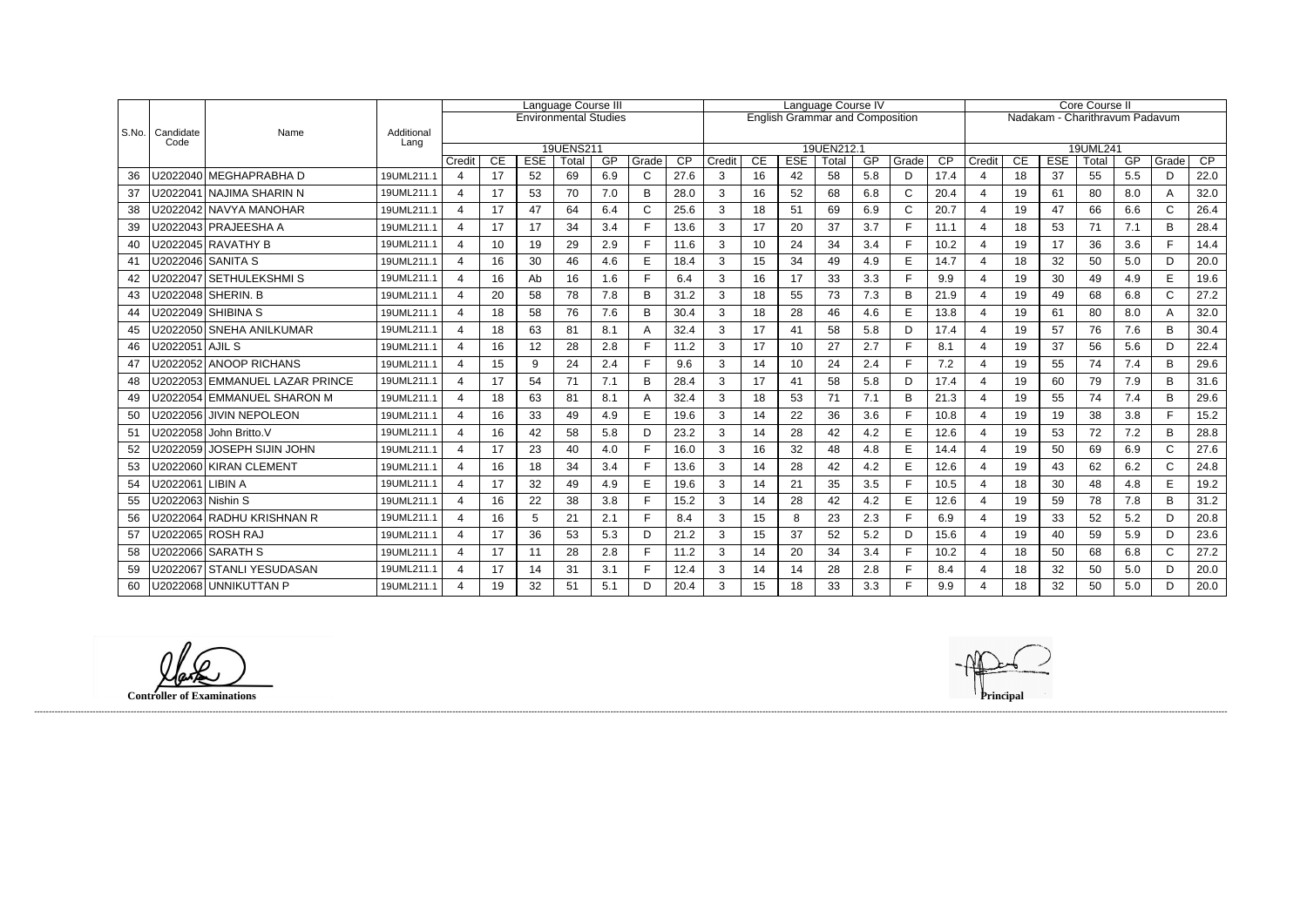|           |                   |                                |                    | Language Course III   |    |            |                              |     |       | Language Course IV |                                        |    |            |            |     |              | Core Course II |                         |                                |            |          |     |              |      |  |
|-----------|-------------------|--------------------------------|--------------------|-----------------------|----|------------|------------------------------|-----|-------|--------------------|----------------------------------------|----|------------|------------|-----|--------------|----------------|-------------------------|--------------------------------|------------|----------|-----|--------------|------|--|
|           |                   |                                |                    |                       |    |            | <b>Environmental Studies</b> |     |       |                    | <b>English Grammar and Composition</b> |    |            |            |     |              |                |                         | Nadakam - Charithravum Padavum |            |          |     |              |      |  |
| l S.No. l | Candidate<br>Code | Name                           | Additional<br>Lang |                       |    |            |                              |     |       |                    |                                        |    |            |            |     |              |                |                         |                                |            |          |     |              |      |  |
|           |                   |                                |                    |                       |    |            | 19UENS211                    |     |       |                    |                                        |    |            | 19UEN212.1 |     |              |                |                         |                                |            | 19UML241 |     |              |      |  |
|           |                   |                                |                    | Credit                | CE | <b>ESE</b> | Total                        | GP  | Grade | CP                 | Credit                                 | CE | <b>ESE</b> | Total      | GP  | Grade        | CP             | Credit                  | CE                             | <b>ESE</b> | Total    | GP  | Grade        | CP   |  |
| 36        |                   | U2022040 MEGHAPRABHA D         | 19UML211.1         | $\overline{4}$        | 17 | 52         | 69                           | 6.9 | C     | 27.6               | 3                                      | 16 | 42         | 58         | 5.8 | D            | 17.4           | $\overline{4}$          | 18                             | 37         | 55       | 5.5 | D            | 22.0 |  |
| 37        |                   | U2022041 NAJIMA SHARIN N       | 19UML211.1         | $\overline{4}$        | 17 | 53         | 70                           | 7.0 | B     | 28.0               | 3                                      | 16 | 52         | 68         | 6.8 | $\mathsf C$  | 20.4           | $\overline{4}$          | 19                             | 61         | 80       | 8.0 | A            | 32.0 |  |
| 38        |                   | U2022042   NAVYA MANOHAR       | 19UML211.1         | $\overline{4}$        | 17 | 47         | 64                           | 6.4 |       | 25.6               | 3                                      | 18 | 51         | 69         | 6.9 | $\mathsf{C}$ | 20.7           | $\overline{4}$          | 19                             | 47         | 66       | 6.6 | $\mathsf{C}$ | 26.4 |  |
| 39        |                   | U2022043 PRAJEESHA A           | 19UML211.1         | $\overline{4}$        | 17 | 17         | 34                           | 3.4 | Е     | 13.6               | 3                                      | 17 | 20         | 37         | 3.7 | $\mathsf{F}$ | 11.1           | $\overline{4}$          | 18                             | 53         | 71       | 7.1 | B            | 28.4 |  |
| 40        |                   | U2022045 RAVATHY B             | 19UML211.1         | 4                     | 10 | 19         | 29                           | 2.9 |       | 11.6               | 3                                      | 10 | 24         | 34         | 3.4 | E            | 10.2           | $\boldsymbol{\Delta}$   | 19                             | 17         | 36       | 3.6 | F.           | 14.4 |  |
| 41        |                   | U2022046 SANITA S              | 19UML211.1         | 4                     | 16 | 30         | 46                           | 4.6 | E     | 18.4               | 3                                      | 15 | 34         | 49         | 4.9 | E            | 14.7           | $\overline{4}$          | 18                             | 32         | 50       | 5.0 | D            | 20.0 |  |
| 42        |                   | U2022047   SETHULEKSHMI S      | 19UML211.1         | $\overline{A}$        | 16 | Ab         | 16                           | 1.6 |       | 6.4                | 3                                      | 16 | 17         | 33         | 3.3 | E            | 9.9            | $\boldsymbol{\Delta}$   | 19                             | 30         | 49       | 4.9 | E.           | 19.6 |  |
| 43        |                   | U2022048 SHERIN. B             | 19UML211.1         | 4                     | 20 | 58         | 78                           | 7.8 | B     | 31.2               | 3                                      | 18 | 55         | 73         | 7.3 | B            | 21.9           | $\overline{4}$          | 19                             | 49         | 68       | 6.8 | $\mathsf C$  | 27.2 |  |
| 44        |                   | U2022049 SHIBINA S             | 19UML211.1         | 4                     | 18 | 58         | 76                           | 7.6 | B     | 30.4               | 3                                      | 18 | 28         | 46         | 4.6 | E            | 13.8           | $\overline{4}$          | 19                             | 61         | 80       | 8.0 | A            | 32.0 |  |
| 45        |                   | U2022050 SNEHA ANILKUMAR       | 19UML211.1         | $\overline{4}$        | 18 | 63         | 81                           | 8.1 |       | 32.4               | 3                                      | 17 | 41         | 58         | 5.8 | D            | 17.4           | $\overline{4}$          | 19                             | 57         | 76       | 7.6 | B            | 30.4 |  |
| 46        | U2022051 AJIL S   |                                | 19UML211.1         | 4                     | 16 | 12         | 28                           | 2.8 |       | 11.2               | 3                                      | 17 | 10         | 27         | 2.7 | $\mathsf{F}$ | 8.1            | $\overline{4}$          | 19                             | 37         | 56       | 5.6 | D            | 22.4 |  |
| 47        |                   | U2022052 ANOOP RICHANS         | 19UML211.1         | $\boldsymbol{\Delta}$ | 15 | 9          | 24                           | 2.4 |       | 9.6                | 3                                      | 14 | 10         | 24         | 2.4 | E            | 7.2            |                         | 19                             | 55         | 74       | 7.4 | B            | 29.6 |  |
| 48        |                   | U2022053 EMMANUEL LAZAR PRINCE | 19UML211.1         | $\boldsymbol{\Delta}$ | 17 | 54         | 71                           | 7.1 | B     | 28.4               | 3                                      | 17 | 41         | 58         | 5.8 | D            | 17.4           | $\overline{4}$          | 19                             | 60         | 79       | 7.9 | B            | 31.6 |  |
| 49        |                   | U2022054 EMMANUEL SHARON M     | 19UML211.1         | 4                     | 18 | 63         | 81                           | 8.1 |       | 32.4               | 3                                      | 18 | 53         | 71         | 7.1 | B            | 21.3           | $\overline{4}$          | 19                             | 55         | 74       | 7.4 | B            | 29.6 |  |
| 50        |                   | U2022056 JIVIN NEPOLEON        | 19UML211.1         | 4                     | 16 | 33         | 49                           | 4.9 | E     | 19.6               | 3                                      | 14 | 22         | 36         | 3.6 | $\mathsf{F}$ | 10.8           | $\overline{4}$          | 19                             | 19         | 38       | 3.8 | F.           | 15.2 |  |
| 51        |                   | U2022058 John Britto.V         | 19UML211.1         | $\overline{4}$        | 16 | 42         | 58                           | 5.8 | D     | 23.2               | 3                                      | 14 | 28         | 42         | 4.2 | E            | 12.6           | $\overline{4}$          | 19                             | 53         | 72       | 7.2 | B            | 28.8 |  |
| 52        |                   | U2022059   JOSEPH SIJIN JOHN   | 19UML211.1         | 4                     | 17 | 23         | 40                           | 4.0 |       | 16.0               | 3                                      | 16 | 32         | 48         | 4.8 | E            | 14.4           | $\boldsymbol{\Delta}$   | 19                             | 50         | 69       | 6.9 | $\mathsf{C}$ | 27.6 |  |
| 53        |                   | U2022060 KIRAN CLEMENT         | 19UML211.1         | $\mathbf 4$           | 16 | 18         | 34                           | 3.4 | Е     | 13.6               | 3                                      | 14 | 28         | 42         | 4.2 | E            | 12.6           | $\overline{4}$          | 19                             | 43         | 62       | 6.2 | $\mathsf{C}$ | 24.8 |  |
| 54        | U2022061 LIBIN A  |                                | 19UML211.1         | 4                     | 17 | 32         | 49                           | 4.9 | E     | 19.6               | 3                                      | 14 | 21         | 35         | 3.5 | F            | 10.5           | $\boldsymbol{\Delta}$   | 18                             | 30         | 48       | 4.8 | E            | 19.2 |  |
| 55        | U2022063 Nishin S |                                | 19UML211.1         | 4                     | 16 | 22         | 38                           | 3.8 |       | 15.2               | 3                                      | 14 | 28         | 42         | 4.2 | $\mathsf E$  | 12.6           | $\overline{4}$          | 19                             | 59         | 78       | 7.8 | B            | 31.2 |  |
| 56        |                   | U2022064 RADHU KRISHNAN R      | 19UML211.1         | 4                     | 16 | 5          | 21                           | 2.1 | Е     | 8.4                | 3                                      | 15 | 8          | 23         | 2.3 | $\mathsf{F}$ | 6.9            | $\overline{\mathbf{4}}$ | 19                             | 33         | 52       | 5.2 | D            | 20.8 |  |
| 57        |                   | U2022065 ROSH RAJ              | 19UML211.1         | $\overline{4}$        | 17 | 36         | 53                           | 5.3 | D     | 21.2               | 3                                      | 15 | 37         | 52         | 5.2 | D            | 15.6           | $\overline{4}$          | 19                             | 40         | 59       | 5.9 | D            | 23.6 |  |
| 58        |                   | U2022066   SARATH S            | 19UML211.1         | $\overline{4}$        | 17 | 11         | 28                           | 2.8 | Е     | 11.2               | 3                                      | 14 | 20         | 34         | 3.4 | $\mathsf{F}$ | 10.2           | $\overline{4}$          | 18                             | 50         | 68       | 6.8 | $\mathsf{C}$ | 27.2 |  |
| 59        |                   | U2022067 STANLI YESUDASAN      | 19UML211.1         | Δ                     | 17 | 14         | 31                           | 3.1 |       | 12.4               | 3                                      | 14 | 14         | 28         | 2.8 | F            | 8.4            | $\boldsymbol{\Delta}$   | 18                             | 32         | 50       | 5.0 | D.           | 20.0 |  |
| 60        |                   | U2022068 UNNIKUTTAN P          | 19UML211.1         | 4                     | 19 | 32         | 51                           | 5.1 | D     | 20.4               | 3                                      | 15 | 18         | 33         | 3.3 | E            | 9.9            | $\boldsymbol{\Delta}$   | 18                             | 32         | 50       | 5.0 | D.           | 20.0 |  |

**Controller of Examinations Principal**

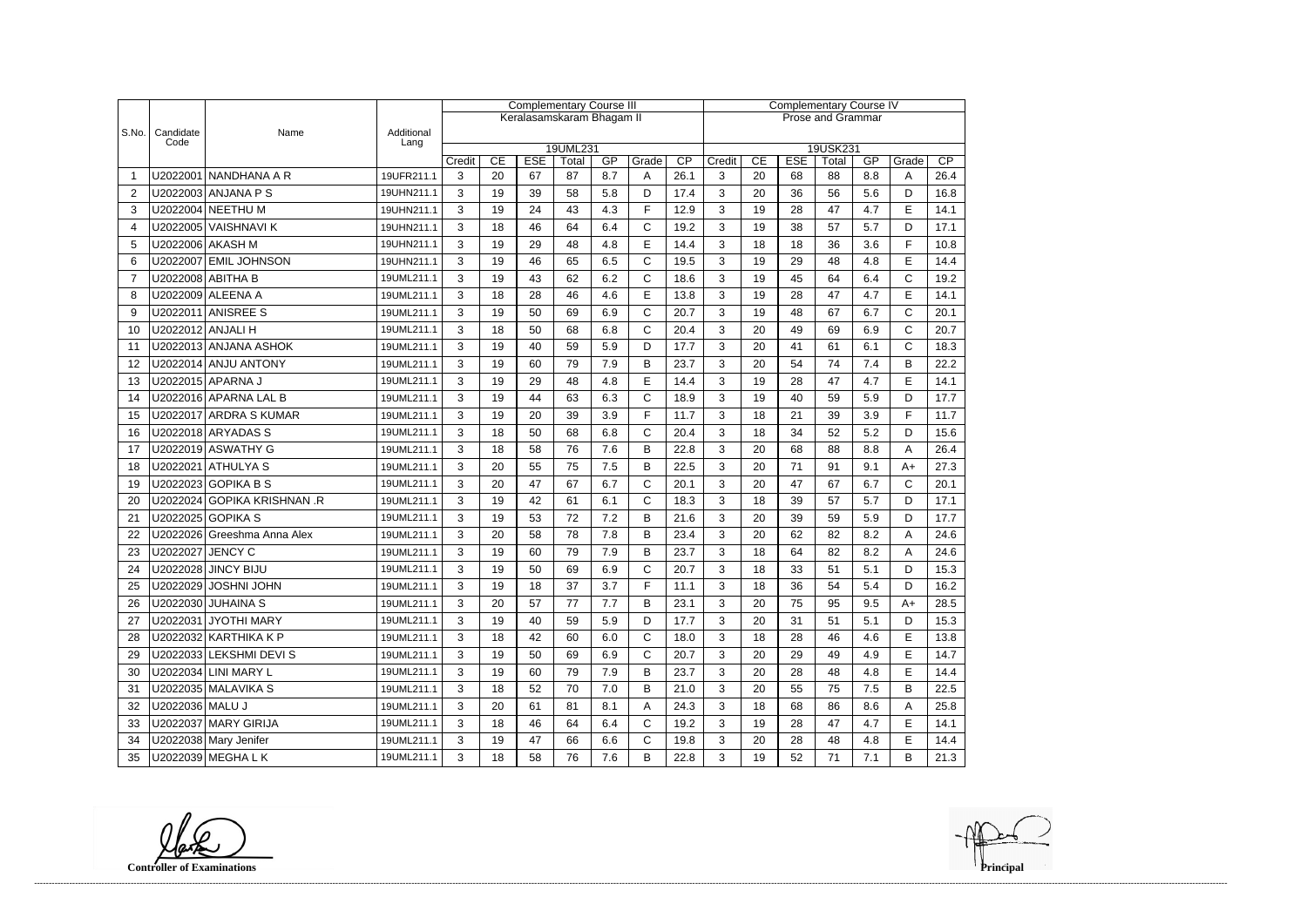|                |                   |                                                 |                    | <b>Complementary Course III</b> |               |                  |                           |           |              |                          | <b>Complementary Course IV</b> |    |                  |             |           |              |      |  |
|----------------|-------------------|-------------------------------------------------|--------------------|---------------------------------|---------------|------------------|---------------------------|-----------|--------------|--------------------------|--------------------------------|----|------------------|-------------|-----------|--------------|------|--|
|                |                   |                                                 |                    |                                 |               |                  | Keralasamskaram Bhagam II |           |              | <b>Prose and Grammar</b> |                                |    |                  |             |           |              |      |  |
| S.No.          | Candidate<br>Code | Name                                            | Additional<br>Lang |                                 |               |                  |                           |           |              |                          |                                |    |                  |             |           |              |      |  |
|                |                   |                                                 |                    |                                 |               |                  | 19UML231                  |           |              |                          |                                | CE |                  | 19USK231    |           |              | CP   |  |
|                |                   | U2022001 NANDHANA A R                           | 19UFR211.1         | Credit<br>3                     | CE<br>20      | <b>ESE</b><br>67 | Total<br>87               | GP<br>8.7 | Grade<br>Α   | CP<br>26.1               | Credit<br>3                    | 20 | <b>ESE</b><br>68 | Total<br>88 | GP<br>8.8 | Grade<br>A   | 26.4 |  |
| 2              |                   | U2022003 ANJANA P S                             | 19UHN211.1         | 3                               | 19            | 39               | 58                        | 5.8       | D            | 17.4                     | 3                              | 20 | 36               | 56          | 5.6       | D            | 16.8 |  |
| 3              |                   | U2022004 NEETHU M                               | 19UHN211.1         | 3                               | 19            | 24               | 43                        | 4.3       | E            | 12.9                     | 3                              | 19 | 28               | 47          | 4.7       | E            | 14.1 |  |
| $\overline{4}$ |                   | U2022005 VAISHNAVIK                             | 19UHN211.1         | 3                               | 18            | 46               | 64                        | 6.4       | $\mathsf{C}$ | 19.2                     | 3                              | 19 | 38               | 57          | 5.7       | D            | 17.1 |  |
| 5              |                   | U2022006 AKASH M                                | 19UHN211.1         | 3                               | 19            | 29               | 48                        | 4.8       | E            | 14.4                     | 3                              | 18 | 18               | 36          | 3.6       | F            | 10.8 |  |
| 6              |                   | U2022007 EMIL JOHNSON                           | 19UHN211.1         | 3                               | 19            | 46               | 65                        | 6.5       | $\mathsf{C}$ | 19.5                     | 3                              | 19 | 29               | 48          | 4.8       | E            | 14.4 |  |
| $\overline{7}$ |                   | U2022008 ABITHA B                               | 19UML211.1         | 3                               | 19            | 43               | 62                        | 6.2       | $\mathsf{C}$ | 18.6                     | 3                              | 19 | 45               | 64          | 6.4       | $\mathsf{C}$ | 19.2 |  |
| 8              |                   | U2022009 ALEENA A                               | 19UML211.1         | 3                               | 18            | 28               | 46                        | 4.6       | E            | 13.8                     | 3                              | 19 | 28               | 47          | 4.7       | E            | 14.1 |  |
| 9              |                   | U2022011 ANISREE S                              | 19UML211.1         | 3                               | 19            | 50               | 69                        | 6.9       | C            | 20.7                     | 3                              | 19 | 48               | 67          | 6.7       | $\mathsf{C}$ | 20.1 |  |
| 10             | U2022012 ANJALI H |                                                 | 19UML211.1         | 3                               | 18            | 50               | 68                        | 6.8       | $\mathsf{C}$ | 20.4                     | 3                              | 20 | 49               | 69          | 6.9       | $\mathsf{C}$ | 20.7 |  |
|                |                   | U2022013 ANJANA ASHOK                           | 19UML211.1         | 3                               | 19            | 40               | 59                        | 5.9       | D            | 17.7                     | 3                              | 20 | 41               | 61          | 6.1       | C            | 18.3 |  |
| 11<br>12       |                   | U2022014 ANJU ANTONY                            | 19UML211.1         | 3                               | 19            | 60               | 79                        | 7.9       | B            | 23.7                     | 3                              | 20 | 54               | 74          | 7.4       | B            | 22.2 |  |
|                |                   | U2022015 APARNA J                               | 19UML211.1         | 3                               | 19            | 29               | 48                        | 4.8       | E            | 14.4                     | 3                              | 19 | 28               | 47          | 4.7       | E            | 14.1 |  |
| 13             |                   |                                                 |                    |                                 |               | 44               |                           |           | $\mathsf C$  |                          |                                |    |                  |             |           |              |      |  |
| 14             |                   | U2022016 APARNA LAL B<br>U2022017 ARDRA S KUMAR | 19UML211.1         | 3                               | 19            |                  | 63                        | 6.3       | F            | 18.9                     | 3                              | 19 | 40               | 59          | 5.9       | D<br>F       | 17.7 |  |
| 15             |                   |                                                 | 19UML211.1         | 3                               | 19            | 20               | 39                        | 3.9       |              | 11.7                     | 3                              | 18 | 21               | 39          | 3.9       |              | 11.7 |  |
| 16             |                   | U2022018 ARYADAS S                              | 19UML211.1         | 3                               | 18            | 50               | 68                        | 6.8       | $\mathsf{C}$ | 20.4                     | 3                              | 18 | 34               | 52          | 5.2       | D            | 15.6 |  |
| 17             |                   | U2022019 ASWATHY G                              | 19UML211.1         | 3                               | 18            | 58               | 76                        | 7.6       | B            | 22.8                     | 3                              | 20 | 68               | 88          | 8.8       | A            | 26.4 |  |
| 18             |                   | U2022021 ATHULYA S                              | 19UML211.1         | 3                               | 20            | 55               | 75                        | 7.5       | B            | 22.5                     | 3                              | 20 | 71               | 91          | 9.1       | $A+$         | 27.3 |  |
| 19             |                   | U2022023 GOPIKA B S                             | 19UML211.1         | 3                               | 20            | 47               | 67                        | 6.7       | $\mathsf{C}$ | 20.1                     | 3                              | 20 | 47               | 67          | 6.7       | $\mathsf{C}$ | 20.1 |  |
| 20             |                   | U2022024 GOPIKA KRISHNAN.R                      | 19UML211.1         | 3                               | 19            | 42               | 61                        | 6.1       | $\mathsf{C}$ | 18.3                     | 3                              | 18 | 39               | 57          | 5.7       | D            | 17.1 |  |
| 21             |                   | U2022025 GOPIKA S                               | 19UML211.1         | 3                               | 19            | 53               | 72                        | 7.2       | B            | 21.6                     | 3                              | 20 | 39               | 59          | 5.9       | D            | 17.7 |  |
| 22             |                   | U2022026 Greeshma Anna Alex                     | 19UML211.1         | 3                               | 20            | 58               | 78                        | 7.8       | B            | 23.4                     | 3                              | 20 | 62               | 82          | 8.2       | A            | 24.6 |  |
| 23             | U2022027 JENCY C  |                                                 | 19UML211.1         | 3                               | 19            | 60               | 79                        | 7.9       | B            | 23.7                     | 3                              | 18 | 64               | 82          | 8.2       | Α            | 24.6 |  |
| 24             |                   | U2022028 JINCY BIJU                             | 19UML211.1         | 3                               | 19            | 50               | 69                        | 6.9       | $\mathsf C$  | 20.7                     | 3                              | 18 | 33               | 51          | 5.1       | D            | 15.3 |  |
| 25             |                   | U2022029 JOSHNI JOHN                            | 19UML211.1         | $\mathcal{R}$                   | 19<br>$\cdot$ | 18               | 37                        | $3.7\,$   | F            | 11.1                     | 3                              | 18 | $36\,$           | 54          | $5.4\,$   | D            | 16.2 |  |
| 26             |                   | U2022030 JUHAINA S                              | 19UML211.1         | 3                               | 20            | 57               | 77                        | 7.7       | B            | 23.1                     | 3                              | 20 | 75               | 95          | 9.5       | $A+$         | 28.5 |  |
| 27             |                   | U2022031 JYOTHI MARY                            | 19UML211.1         | 3                               | 19            | 40               | 59                        | 5.9       | D            | 17.7                     | 3                              | 20 | 31               | 51          | 5.1       | D            | 15.3 |  |
| 28             |                   | U2022032 KARTHIKA K P                           | 19UML211.1         | 3                               | 18            | 42               | 60                        | 6.0       | C            | 18.0                     | 3                              | 18 | 28               | 46          | 4.6       | E            | 13.8 |  |
| 29             |                   | U2022033 LEKSHMI DEVI S                         | 19UML211.1         | 3                               | 19            | 50               | 69                        | 6.9       | $\mathsf C$  | 20.7                     | 3                              | 20 | 29               | 49          | 4.9       | E            | 14.7 |  |
| 30             |                   | U2022034 LINI MARY L                            | 19UML211.1         | 3                               | 19            | 60               | 79                        | 7.9       | B            | 23.7                     | 3                              | 20 | 28               | 48          | 4.8       | E            | 14.4 |  |
| 31             |                   | U2022035 MALAVIKA S                             | 19UML211.1         | 3                               | 18            | 52               | 70                        | 7.0       | B            | 21.0                     | 3                              | 20 | 55               | 75          | 7.5       | B            | 22.5 |  |
| 32             | U2022036 MALU J   |                                                 | 19UML211.1         | 3                               | 20            | 61               | 81                        | 8.1       | A            | 24.3                     | 3                              | 18 | 68               | 86          | 8.6       | Α            | 25.8 |  |
| 33             |                   | U2022037 MARY GIRIJA                            | 19UML211.1         | 3                               | 18            | 46               | 64                        | 6.4       | $\mathsf{C}$ | 19.2                     | 3                              | 19 | 28               | 47          | 4.7       | E            | 14.1 |  |
| 34             |                   | U2022038 Mary Jenifer                           | 19UML211.1         | 3                               | 19            | 47               | 66                        | 6.6       | ${\bf C}$    | 19.8                     | 3                              | 20 | 28               | 48          | 4.8       | E            | 14.4 |  |
| 35             |                   | U2022039 MEGHA L K                              | 19UML211.1         | 3                               | 18            | 58               | 76                        | 7.6       | В            | 22.8                     | 3                              | 19 | 52               | 71          | 7.1       | В            | 21.3 |  |

**Controller of Examinations**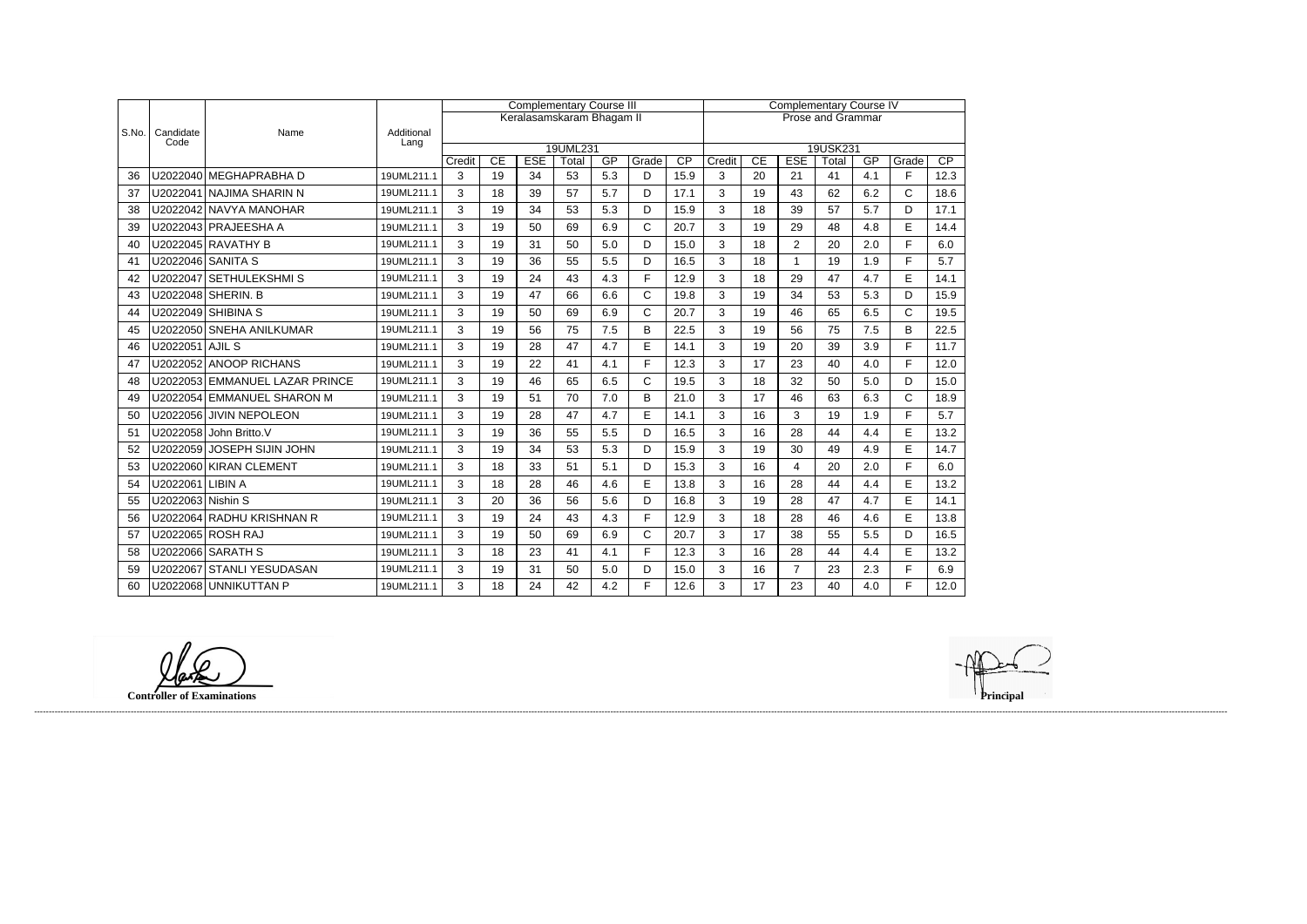|       |                   |                                |                    |              |    |            | <b>Complementary Course III</b> |           |             | <b>Complementary Course IV</b> |                          |          |                |          |     |              |                 |  |
|-------|-------------------|--------------------------------|--------------------|--------------|----|------------|---------------------------------|-----------|-------------|--------------------------------|--------------------------|----------|----------------|----------|-----|--------------|-----------------|--|
|       |                   |                                |                    |              |    |            | Keralasamskaram Bhagam II       |           |             |                                | <b>Prose and Grammar</b> |          |                |          |     |              |                 |  |
| S.No. | Candidate<br>Code | Name                           | Additional<br>Lang |              |    |            |                                 |           |             |                                |                          |          |                |          |     |              |                 |  |
|       |                   |                                |                    |              |    |            | 19UML231                        |           |             |                                |                          |          |                | 19USK231 |     |              |                 |  |
|       |                   | U2022040 MEGHAPRABHA D         |                    | Credit       | CE | <b>ESE</b> | Total                           | GP<br>5.3 | Grade       | $\overline{CP}$                | Credit                   | CE<br>20 | <b>ESE</b>     | Total    | GP  | Grade<br>F   | $\overline{CP}$ |  |
| 36    |                   |                                | 19UML211.1         | 3            | 19 | 34         | 53                              |           | D           | 15.9                           | 3                        |          | 21             | 41       | 4.1 |              | 12.3            |  |
| 37    | U2022041          | NAJIMA SHARIN N                | 19UML211.1         | 3            | 18 | 39         | 57                              | 5.7       | D           | 17.1                           | 3                        | 19       | 43             | 62       | 6.2 | C            | 18.6            |  |
| 38    |                   | U2022042 NAVYA MANOHAR         | 19UML211.1         | 3            | 19 | 34         | 53                              | 5.3       | D           | 15.9                           | 3                        | 18       | 39             | 57       | 5.7 | D            | 17.1            |  |
| 39    |                   | U2022043 PRAJEESHA A           | 19UML211.1         | 3            | 19 | 50         | 69                              | 6.9       | C           | 20.7                           | 3                        | 19       | 29             | 48       | 4.8 | E            | 14.4            |  |
| 40    |                   | U2022045 RAVATHY B             | 19UML211.1         | 3            | 19 | 31         | 50                              | 5.0       | D           | 15.0                           | 3                        | 18       | $\overline{2}$ | 20       | 2.0 | F            | 6.0             |  |
| 41    |                   | U2022046 SANITA S              | 19UML211.1         | 3            | 19 | 36         | 55                              | 5.5       | D           | 16.5                           | 3                        | 18       | $\mathbf{1}$   | 19       | 1.9 | F.           | 5.7             |  |
| 42    |                   | U2022047 SETHULEKSHMIS         | 19UML211.1         | 3            | 19 | 24         | 43                              | 4.3       | F           | 12.9                           | 3                        | 18       | 29             | 47       | 4.7 | E            | 14.1            |  |
| 43    |                   | U2022048 SHERIN. B             | 19UML211.1         | 3            | 19 | 47         | 66                              | 6.6       | $\mathsf C$ | 19.8                           | 3                        | 19       | 34             | 53       | 5.3 | D            | 15.9            |  |
| 44    | U2022049          | <b>SHIBINA S</b>               | 19UML211.1         | 3            | 19 | 50         | 69                              | 6.9       | C           | 20.7                           | 3                        | 19       | 46             | 65       | 6.5 | $\mathsf{C}$ | 19.5            |  |
| 45    |                   | U2022050 SNEHA ANILKUMAR       | 19UML211.1         | 3            | 19 | 56         | 75                              | 7.5       | B           | 22.5                           | 3                        | 19       | 56             | 75       | 7.5 | B            | 22.5            |  |
| 46    | U2022051 AJIL S   |                                | 19UML211.1         | 3            | 19 | 28         | 47                              | 4.7       | E           | 14.1                           | 3                        | 19       | 20             | 39       | 3.9 | F.           | 11.7            |  |
| 47    |                   | U2022052 ANOOP RICHANS         | 19UML211.1         | 3            | 19 | 22         | 41                              | 4.1       | F           | 12.3                           | 3                        | 17       | 23             | 40       | 4.0 | F            | 12.0            |  |
| 48    |                   | U2022053 EMMANUEL LAZAR PRINCE | 19UML211.1         | 3            | 19 | 46         | 65                              | 6.5       | C           | 19.5                           | 3                        | 18       | 32             | 50       | 5.0 | D            | 15.0            |  |
| 49    |                   | U2022054 EMMANUEL SHARON M     | 19UML211.1         | 3            | 19 | 51         | 70                              | 7.0       | B           | 21.0                           | 3                        | 17       | 46             | 63       | 6.3 | $\mathsf C$  | 18.9            |  |
| 50    | U2022056          | <b>JIVIN NEPOLEON</b>          | 19UML211.1         | $\mathbf{3}$ | 19 | 28         | 47                              | 4.7       | E           | 14.1                           | $\mathbf{3}$             | 16       | 3              | 19       | 1.9 | F            | 5.7             |  |
| 51    | U2022058          | John Britto.V                  | 19UML211.1         | 3            | 19 | 36         | 55                              | 5.5       | D           | 16.5                           | 3                        | 16       | 28             | 44       | 4.4 | E            | 13.2            |  |
| 52    | U2022059          | <b>JOSEPH SIJIN JOHN</b>       | 19UML211.1         | 3            | 19 | 34         | 53                              | 5.3       | D           | 15.9                           | 3                        | 19       | 30             | 49       | 4.9 | E            | 14.7            |  |
| 53    |                   | U2022060 KIRAN CLEMENT         | 19UML211.1         | 3            | 18 | 33         | 51                              | 5.1       | D           | 15.3                           | 3                        | 16       | 4              | 20       | 2.0 | F.           | 6.0             |  |
| 54    | U2022061 LIBIN A  |                                | 19UML211.1         | 3            | 18 | 28         | 46                              | 4.6       | E           | 13.8                           | 3                        | 16       | 28             | 44       | 4.4 | E            | 13.2            |  |
| 55    | U2022063 Nishin S |                                | 19UML211.1         | 3            | 20 | 36         | 56                              | 5.6       | D           | 16.8                           | 3                        | 19       | 28             | 47       | 4.7 | E            | 14.1            |  |
| 56    |                   | U2022064 RADHU KRISHNAN R      | 19UML211.1         | 3            | 19 | 24         | 43                              | 4.3       | F           | 12.9                           | 3                        | 18       | 28             | 46       | 4.6 | E            | 13.8            |  |
| 57    |                   | U2022065 ROSH RAJ              | 19UML211.1         | 3            | 19 | 50         | 69                              | 6.9       | C           | 20.7                           | 3                        | 17       | 38             | 55       | 5.5 | D            | 16.5            |  |
| 58    |                   | U2022066 SARATH S              | 19UML211.1         | 3            | 18 | 23         | 41                              | 4.1       | F.          | 12.3                           | 3                        | 16       | 28             | 44       | 4.4 | E            | 13.2            |  |
| 59    |                   | U2022067 STANLI YESUDASAN      | 19UML211.1         | 3            | 19 | 31         | 50                              | 5.0       | D           | 15.0                           | 3                        | 16       | $\overline{7}$ | 23       | 2.3 | F            | 6.9             |  |
| 60    |                   | U2022068 UNNIKUTTAN P          | 19UML211.1         | 3            | 18 | 24         | 42                              | 4.2       | F           | 12.6                           | 3                        | 17       | 23             | 40       | 4.0 | E            | 12.0            |  |

**Controller of Examinations Principal**

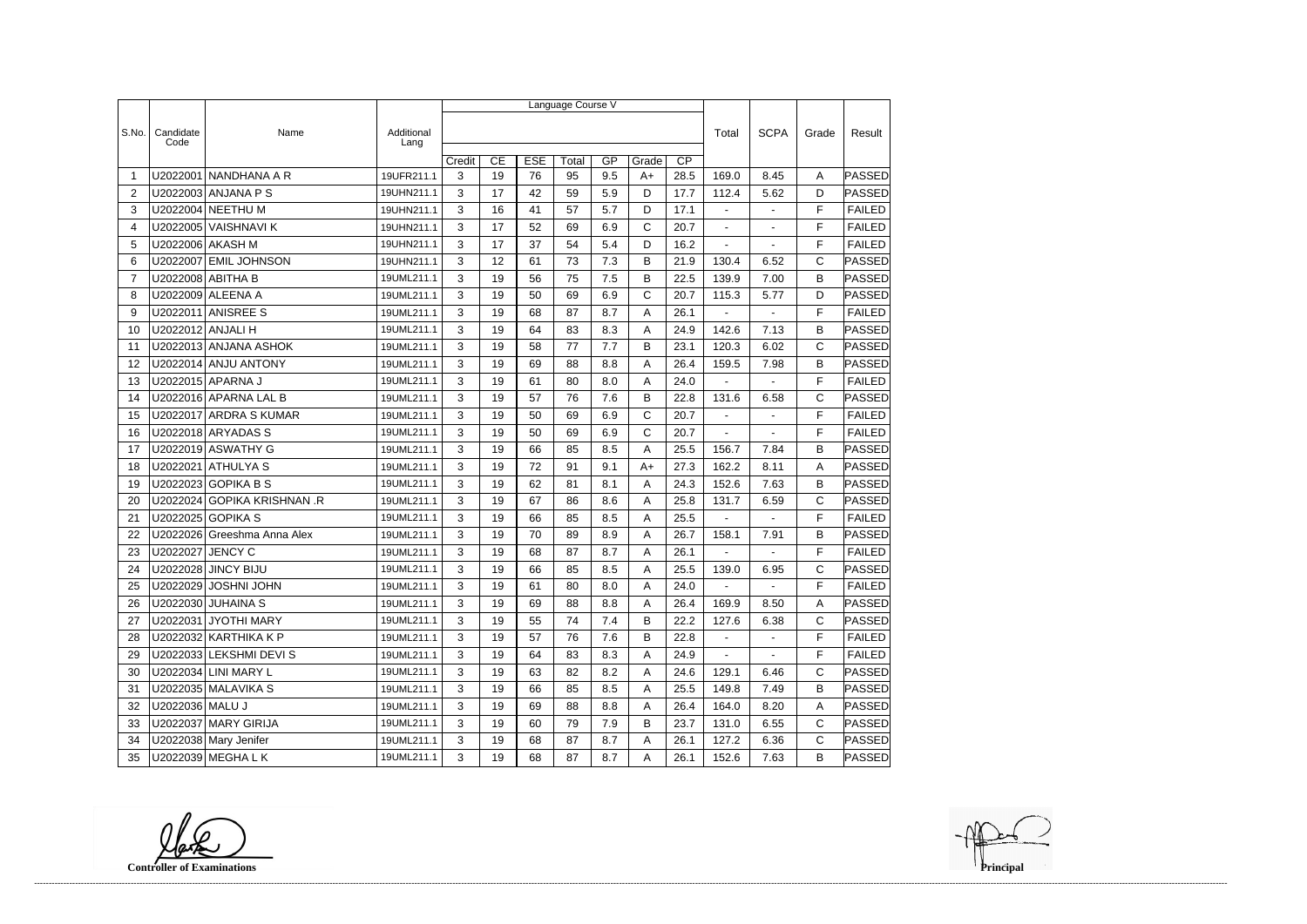|                |                   |                             |                    | Language Course V |    |            |       |     |       |                 |                          |                |              |               |  |
|----------------|-------------------|-----------------------------|--------------------|-------------------|----|------------|-------|-----|-------|-----------------|--------------------------|----------------|--------------|---------------|--|
|                |                   |                             |                    |                   |    |            |       |     |       |                 |                          |                |              |               |  |
| S.No.          | Candidate<br>Code | Name                        | Additional<br>Lang |                   |    |            |       |     |       |                 | Total                    | <b>SCPA</b>    | Grade        | Result        |  |
|                |                   |                             |                    | Credit            | CE | <b>ESE</b> | Total | GP  | Grade | $\overline{CP}$ |                          |                |              |               |  |
| -1             | U2022001          | NANDHANA A R                | 19UFR211.1         | 3                 | 19 | 76         | 95    | 9.5 | $A+$  | 28.5            | 169.0                    | 8.45           | A            | PASSED        |  |
| $\overline{2}$ |                   | U2022003 ANJANA P S         | 19UHN211.1         | 3                 | 17 | 42         | 59    | 5.9 | D     | 17.7            | 112.4                    | 5.62           | D            | <b>PASSED</b> |  |
| 3              |                   | U2022004 NEETHU M           | 19UHN211.1         | 3                 | 16 | 41         | 57    | 5.7 | D     | 17.1            | $\overline{\phantom{a}}$ | ÷,             | F            | <b>FAILED</b> |  |
| 4              |                   | U2022005 VAISHNAVI K        | 19UHN211.1         | 3                 | 17 | 52         | 69    | 6.9 | C     | 20.7            |                          |                | F            | <b>FAILED</b> |  |
| 5              |                   | U2022006 AKASH M            | 19UHN211.1         | 3                 | 17 | 37         | 54    | 5.4 | D     | 16.2            | $\blacksquare$           | $\sim$         | F            | <b>FAILED</b> |  |
| 6              | U2022007          | <b>EMIL JOHNSON</b>         | 19UHN211.1         | 3                 | 12 | 61         | 73    | 7.3 | B     | 21.9            | 130.4                    | 6.52           | $\mathsf{C}$ | PASSED        |  |
| $\overline{7}$ |                   | U2022008 ABITHA B           | 19UML211.1         | 3                 | 19 | 56         | 75    | 7.5 | B     | 22.5            | 139.9                    | 7.00           | B            | <b>PASSED</b> |  |
| 8              |                   | U2022009 ALEENA A           | 19UML211.1         | 3                 | 19 | 50         | 69    | 6.9 | C     | 20.7            | 115.3                    | 5.77           | D            | <b>PASSED</b> |  |
| 9              |                   | U2022011 ANISREE S          | 19UML211.1         | 3                 | 19 | 68         | 87    | 8.7 | Α     | 26.1            |                          |                | F            | <b>FAILED</b> |  |
| 10             | U2022012 ANJALI H |                             | 19UML211.1         | 3                 | 19 | 64         | 83    | 8.3 | Α     | 24.9            | 142.6                    | 7.13           | B            | PASSED        |  |
| 11             |                   | U2022013 ANJANA ASHOK       | 19UML211.1         | 3                 | 19 | 58         | 77    | 7.7 | B     | 23.1            | 120.3                    | 6.02           | C            | PASSED        |  |
| 12             |                   | U2022014 ANJU ANTONY        | 19UML211.1         | 3                 | 19 | 69         | 88    | 8.8 | Α     | 26.4            | 159.5                    | 7.98           | B            | <b>PASSED</b> |  |
| 13             |                   | U2022015 APARNA J           | 19UML211.1         | 3                 | 19 | 61         | 80    | 8.0 | Α     | 24.0            | $\blacksquare$           |                | F            | <b>FAILED</b> |  |
| 14             |                   | U2022016 APARNA LAL B       | 19UML211.1         | 3                 | 19 | 57         | 76    | 7.6 | B     | 22.8            | 131.6                    | 6.58           | $\mathsf{C}$ | PASSED        |  |
| 15             |                   | U2022017 ARDRA S KUMAR      | 19UML211.1         | 3                 | 19 | 50         | 69    | 6.9 | C     | 20.7            | $\blacksquare$           | $\blacksquare$ | F            | <b>FAILED</b> |  |
| 16             |                   | U2022018 ARYADAS S          | 19UML211.1         | 3                 | 19 | 50         | 69    | 6.9 | C     | 20.7            |                          |                | F            | <b>FAILED</b> |  |
| 17             |                   | U2022019 ASWATHY G          | 19UML211.1         | 3                 | 19 | 66         | 85    | 8.5 | A     | 25.5            | 156.7                    | 7.84           | B            | <b>PASSED</b> |  |
| 18             | U2022021          | <b>ATHULYAS</b>             | 19UML211.1         | 3                 | 19 | 72         | 91    | 9.1 | $A+$  | 27.3            | 162.2                    | 8.11           | A            | <b>PASSED</b> |  |
| 19             |                   | U2022023 GOPIKA B S         | 19UML211.1         | 3                 | 19 | 62         | 81    | 8.1 | Α     | 24.3            | 152.6                    | 7.63           | B            | PASSED        |  |
| 20             |                   | U2022024 GOPIKA KRISHNAN.R  | 19UML211.1         | 3                 | 19 | 67         | 86    | 8.6 | Α     | 25.8            | 131.7                    | 6.59           | $\mathsf{C}$ | PASSED        |  |
| 21             |                   | U2022025 GOPIKA S           | 19UML211.1         | 3                 | 19 | 66         | 85    | 8.5 | Α     | 25.5            |                          |                | F            | <b>FAILED</b> |  |
| 22             |                   | U2022026 Greeshma Anna Alex | 19UML211.1         | 3                 | 19 | 70         | 89    | 8.9 | Α     | 26.7            | 158.1                    | 7.91           | B            | <b>PASSED</b> |  |
| 23             | U2022027          | <b>JENCY C</b>              | 19UML211.1         | 3                 | 19 | 68         | 87    | 8.7 | Α     | 26.1            | ÷,                       |                | F            | <b>FAILED</b> |  |
| 24             |                   | U2022028 JINCY BIJU         | 19UML211.1         | 3                 | 19 | 66         | 85    | 8.5 | Α     | 25.5            | 139.0                    | 6.95           | $\mathsf C$  | PASSED        |  |
| 25             |                   | U2022029 JOSHNI JOHN        | 19UML211.1         | 3                 | 19 | 61         | 80    | 8.0 | A     | 24.0            | $\sim$ 100 $\mu$         |                | F            | FAILED        |  |
| 26             |                   | U2022030 JUHAINA S          | 19UML211.1         | 3                 | 19 | 69         | 88    | 8.8 | A     | 26.4            | 169.9                    | 8.50           | Α            | <b>PASSED</b> |  |
| 27             |                   | U2022031 JYOTHI MARY        | 19UML211.1         | 3                 | 19 | 55         | 74    | 7.4 | B     | 22.2            | 127.6                    | 6.38           | C            | PASSED        |  |
| 28             |                   | U2022032   KARTHIKA K P     | 19UML211.1         | 3                 | 19 | 57         | 76    | 7.6 | В     | 22.8            | $\sim$                   | $\blacksquare$ | F            | <b>FAILED</b> |  |
| 29             |                   | U2022033 LEKSHMI DEVI S     | 19UML211.1         | 3                 | 19 | 64         | 83    | 8.3 | A     | 24.9            | $\sim$                   | $\blacksquare$ | F            | <b>FAILED</b> |  |
| 30             |                   | U2022034 LINI MARY L        | 19UML211.1         | 3                 | 19 | 63         | 82    | 8.2 | A     | 24.6            | 129.1                    | 6.46           | C            | PASSED        |  |
| 31             |                   | U2022035 MALAVIKA S         | 19UML211.1         | 3                 | 19 | 66         | 85    | 8.5 | A     | 25.5            | 149.8                    | 7.49           | B            | <b>PASSED</b> |  |
| 32             | U2022036 MALU J   |                             | 19UML211.1         | 3                 | 19 | 69         | 88    | 8.8 | Α     | 26.4            | 164.0                    | 8.20           | A            | <b>PASSED</b> |  |
| 33             |                   | U2022037 MARY GIRIJA        | 19UML211.1         | 3                 | 19 | 60         | 79    | 7.9 | B     | 23.7            | 131.0                    | 6.55           | C            | PASSED        |  |
| 34             |                   | U2022038 Mary Jenifer       | 19UML211.1         | 3                 | 19 | 68         | 87    | 8.7 | A     | 26.1            | 127.2                    | 6.36           | $\mathsf{C}$ | <b>PASSED</b> |  |
|                |                   | 35   U2022039   MEGHA L K   | 19UML211.1         | $\mathbf{3}$      | 19 | 68         | 87    | 8.7 | A     | 26.1            | 152.6                    | 7.63           | B            | <b>PASSED</b> |  |

**Controller of Examinations**